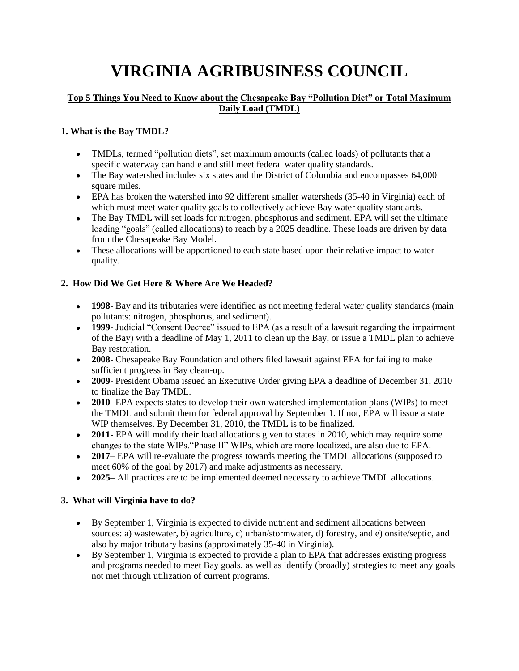# **VIRGINIA AGRIBUSINESS COUNCIL**

#### **Top 5 Things You Need to Know about the Chesapeake Bay "Pollution Diet" or Total Maximum Daily Load (TMDL)**

#### **1. What is the Bay TMDL?**

- TMDLs, termed "pollution diets", set maximum amounts (called loads) of pollutants that a specific waterway can handle and still meet federal water quality standards.
- The Bay watershed includes six states and the District of Columbia and encompasses 64,000 square miles.
- EPA has broken the watershed into 92 different smaller watersheds (35-40 in Virginia) each of which must meet water quality goals to collectively achieve Bay water quality standards.
- The Bay TMDL will set loads for nitrogen, phosphorus and sediment. EPA will set the ultimate loading "goals" (called allocations) to reach by a 2025 deadline. These loads are driven by data from the Chesapeake Bay Model.
- These allocations will be apportioned to each state based upon their relative impact to water quality.

#### **2. How Did We Get Here & Where Are We Headed?**

- **1998** Bay and its tributaries were identified as not meeting federal water quality standards (main pollutants: nitrogen, phosphorus, and sediment).
- **1999** Judicial "Consent Decree" issued to EPA (as a result of a lawsuit regarding the impairment of the Bay) with a deadline of May 1, 2011 to clean up the Bay, or issue a TMDL plan to achieve Bay restoration.
- **2008** Chesapeake Bay Foundation and others filed lawsuit against EPA for failing to make sufficient progress in Bay clean-up.
- **2009** President Obama issued an Executive Order giving EPA a deadline of December 31, 2010 to finalize the Bay TMDL.
- **2010** EPA expects states to develop their own watershed implementation plans (WIPs) to meet the TMDL and submit them for federal approval by September 1. If not, EPA will issue a state WIP themselves. By December 31, 2010, the TMDL is to be finalized.
- **2011-** EPA will modify their load allocations given to states in 2010, which may require some changes to the state WIPs."Phase II" WIPs, which are more localized, are also due to EPA.
- **2017–** EPA will re-evaluate the progress towards meeting the TMDL allocations (supposed to meet 60% of the goal by 2017) and make adjustments as necessary.
- **2025–** All practices are to be implemented deemed necessary to achieve TMDL allocations.

#### **3. What will Virginia have to do?**

- By September 1, Virginia is expected to divide nutrient and sediment allocations between sources: a) wastewater, b) agriculture, c) urban/stormwater, d) forestry, and e) onsite/septic, and also by major tributary basins (approximately 35-40 in Virginia).
- By September 1, Virginia is expected to provide a plan to EPA that addresses existing progress and programs needed to meet Bay goals, as well as identify (broadly) strategies to meet any goals not met through utilization of current programs.